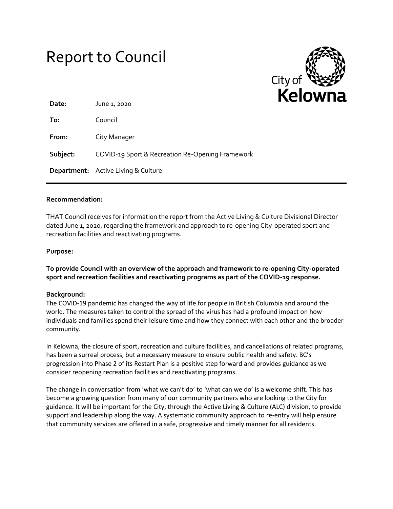# Report to Council



| Date:    | June 1, 2020                                     |
|----------|--------------------------------------------------|
| To:      | Council                                          |
| From:    | City Manager                                     |
| Subject: | COVID-19 Sport & Recreation Re-Opening Framework |
|          | <b>Department:</b> Active Living & Culture       |

### **Recommendation:**

THAT Council receives for information the report from the Active Living & Culture Divisional Director dated June 1, 2020, regarding the framework and approach to re-opening City-operated sport and recreation facilities and reactivating programs.

#### **Purpose:**

**To provide Council with an overview of the approach and framework to re-opening City-operated sport and recreation facilities and reactivating programs as part of the COVID-19 response.**

#### **Background:**

The COVID-19 pandemic has changed the way of life for people in British Columbia and around the world. The measures taken to control the spread of the virus has had a profound impact on how individuals and families spend their leisure time and how they connect with each other and the broader community.

In Kelowna, the closure of sport, recreation and culture facilities, and cancellations of related programs, has been a surreal process, but a necessary measure to ensure public health and safety. BC's progression into Phase 2 of its Restart Plan is a positive step forward and provides guidance as we consider reopening recreation facilities and reactivating programs.

The change in conversation from 'what we can't do' to 'what can we do' is a welcome shift. This has become a growing question from many of our community partners who are looking to the City for guidance. It will be important for the City, through the Active Living & Culture (ALC) division, to provide support and leadership along the way. A systematic community approach to re-entry will help ensure that community services are offered in a safe, progressive and timely manner for all residents.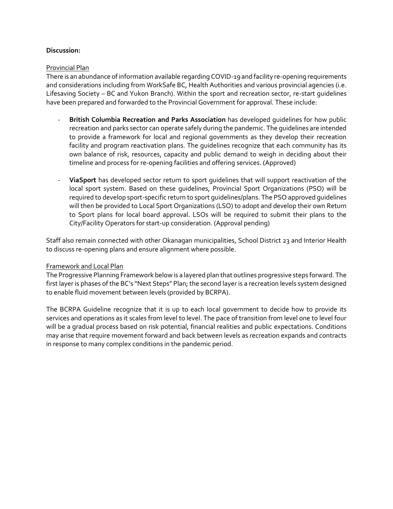# **Discussion:**

# Provincial Plan

There is an abundance of information available regarding COVID-19 and facility re-opening requirements and considerations including from WorkSafe BC, Health Authorities and various provincial agencies (i.e. Lifesaving Society – BC and Yukon Branch). Within the sport and recreation sector, re-start guidelines have been prepared and forwarded to the Provincial Government for approval. These include:

- **British Columbia Recreation and Parks Association** has developed guidelines for how public recreation and parks sector can operate safely during the pandemic. The guidelines are intended to provide a framework for local and regional governments as they develop their recreation facility and program reactivation plans. The guidelines recognize that each community has its own balance of risk, resources, capacity and public demand to weigh in deciding about their timeline and process for re-opening facilities and offering services. (Approved)
- **ViaSport** has developed sector return to sport guidelines that will support reactivation of the local sport system. Based on these guidelines, Provincial Sport Organizations (PSO) will be required to develop sport-specific return to sport guidelines/plans. The PSO approved guidelines will then be provided to Local Sport Organizations (LSO) to adopt and develop their own Return to Sport plans for local board approval. LSOs will be required to submit their plans to the City/Facility Operators for start-up consideration. (Approval pending)

Staff also remain connected with other Okanagan municipalities, School District 23 and Interior Health to discuss re-opening plans and ensure alignment where possible.

### Framework and Local Plan

The Progressive Planning Framework below is a layered plan that outlines progressive steps forward. The first layer is phases of the BC's "Next Steps" Plan; the second layer is a recreation levels system designed to enable fluid movement between levels (provided by BCRPA).

The BCRPA Guideline recognize that it is up to each local government to decide how to provide its services and operations as it scales from level to level. The pace of transition from level one to level four will be a gradual process based on risk potential, financial realities and public expectations. Conditions may arise that require movement forward and back between levels as recreation expands and contracts in response to many complex conditions in the pandemic period.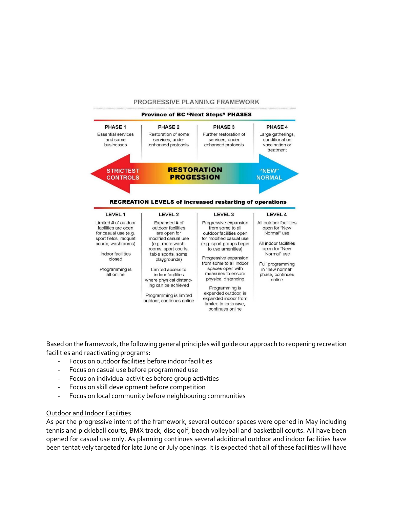#### PROGRESSIVE PLANNING FRAMEWORK



Based on the framework, the following general principles will guide our approach to reopening recreation facilities and reactivating programs:

- Focus on outdoor facilities before indoor facilities
- Focus on casual use before programmed use
- Focus on individual activities before group activities
- Focus on skill development before competition
- Focus on local community before neighbouring communities

# Outdoor and Indoor Facilities

As per the progressive intent of the framework, several outdoor spaces were opened in May including tennis and pickleball courts, BMX track, disc golf, beach volleyball and basketball courts. All have been opened for casual use only. As planning continues several additional outdoor and indoor facilities have been tentatively targeted for late June or July openings. It is expected that all of these facilities will have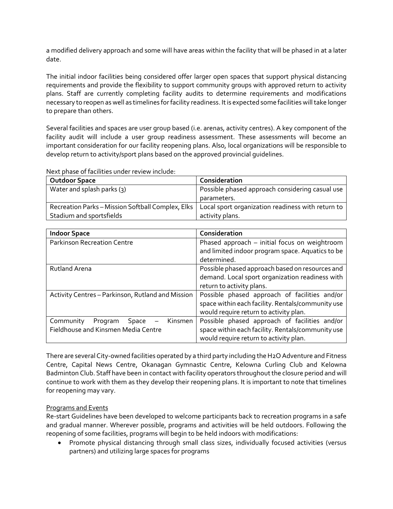a modified delivery approach and some will have areas within the facility that will be phased in at a later date.

The initial indoor facilities being considered offer larger open spaces that support physical distancing requirements and provide the flexibility to support community groups with approved return to activity plans. Staff are currently completing facility audits to determine requirements and modifications necessary to reopen as well as timelines for facility readiness. It is expected some facilities will take longer to prepare than others.

Several facilities and spaces are user group based (i.e. arenas, activity centres). A key component of the facility audit will include a user group readiness assessment. These assessments will become an important consideration for our facility reopening plans. Also, local organizations will be responsible to develop return to activity/sport plans based on the approved provincial guidelines.

| <b>Outdoor Space</b>                              | Consideration                                     |
|---------------------------------------------------|---------------------------------------------------|
| Water and splash parks $(3)$                      | Possible phased approach considering casual use   |
|                                                   | parameters.                                       |
| Recreation Parks - Mission Softball Complex, Elks | Local sport organization readiness with return to |
| Stadium and sportsfields                          | activity plans.                                   |

Next phase of facilities under review include:

| <b>Indoor Space</b>                               | Consideration                                     |
|---------------------------------------------------|---------------------------------------------------|
| <b>Parkinson Recreation Centre</b>                | Phased approach - initial focus on weightroom     |
|                                                   | and limited indoor program space. Aquatics to be  |
|                                                   | determined.                                       |
| <b>Rutland Arena</b>                              | Possible phased approach based on resources and   |
|                                                   | demand. Local sport organization readiness with   |
|                                                   | return to activity plans.                         |
| Activity Centres - Parkinson, Rutland and Mission | Possible phased approach of facilities and/or     |
|                                                   | space within each facility. Rentals/community use |
|                                                   | would require return to activity plan.            |
| Community<br>Kinsmen<br>Space<br>Program          | Possible phased approach of facilities and/or     |
| Fieldhouse and Kinsmen Media Centre               | space within each facility. Rentals/community use |
|                                                   | would require return to activity plan.            |

There are several City-owned facilities operated by a third party including the H2O Adventure and Fitness Centre, Capital News Centre, Okanagan Gymnastic Centre, Kelowna Curling Club and Kelowna Badminton Club. Staff have been in contact with facility operators throughout the closure period and will continue to work with them as they develop their reopening plans. It is important to note that timelines for reopening may vary.

# Programs and Events

Re-start Guidelines have been developed to welcome participants back to recreation programs in a safe and gradual manner. Wherever possible, programs and activities will be held outdoors. Following the reopening of some facilities, programs will begin to be held indoors with modifications:

 Promote physical distancing through small class sizes, individually focused activities (versus partners) and utilizing large spaces for programs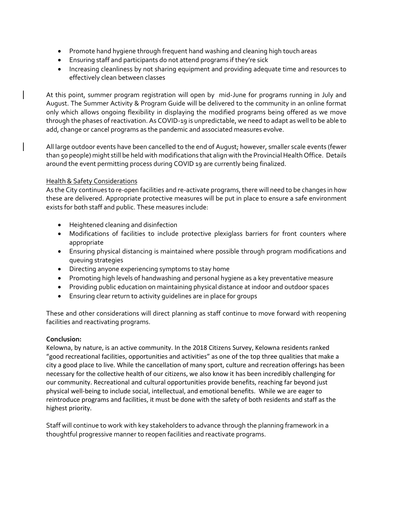- Promote hand hygiene through frequent hand washing and cleaning high touch areas
- Ensuring staff and participants do not attend programs if they're sick
- Increasing cleanliness by not sharing equipment and providing adequate time and resources to effectively clean between classes

At this point, summer program registration will open by mid-June for programs running in July and August. The Summer Activity & Program Guide will be delivered to the community in an online format only which allows ongoing flexibility in displaying the modified programs being offered as we move through the phases of reactivation. As COVID-19 is unpredictable, we need to adapt as well to be able to add, change or cancel programs as the pandemic and associated measures evolve.

All large outdoor events have been cancelled to the end of August; however, smaller scale events (fewer than 50 people) might still be held with modifications that align with the Provincial Health Office. Details around the event permitting process during COVID 19 are currently being finalized.

# Health & Safety Considerations

As the City continues to re-open facilities and re-activate programs, there will need to be changes in how these are delivered. Appropriate protective measures will be put in place to ensure a safe environment exists for both staff and public. These measures include:

- Heightened cleaning and disinfection
- Modifications of facilities to include protective plexiglass barriers for front counters where appropriate
- Ensuring physical distancing is maintained where possible through program modifications and queuing strategies
- Directing anyone experiencing symptoms to stay home
- Promoting high levels of handwashing and personal hygiene as a key preventative measure
- Providing public education on maintaining physical distance at indoor and outdoor spaces
- Ensuring clear return to activity guidelines are in place for groups

These and other considerations will direct planning as staff continue to move forward with reopening facilities and reactivating programs.

# **Conclusion:**

Kelowna, by nature, is an active community. In the 2018 Citizens Survey, Kelowna residents ranked "good recreational facilities, opportunities and activities" as one of the top three qualities that make a city a good place to live. While the cancellation of many sport, culture and recreation offerings has been necessary for the collective health of our citizens, we also know it has been incredibly challenging for our community. Recreational and cultural opportunities provide benefits, reaching far beyond just physical well-being to include social, intellectual, and emotional benefits. While we are eager to reintroduce programs and facilities, it must be done with the safety of both residents and staff as the highest priority.

Staff will continue to work with key stakeholders to advance through the planning framework in a thoughtful progressive manner to reopen facilities and reactivate programs.